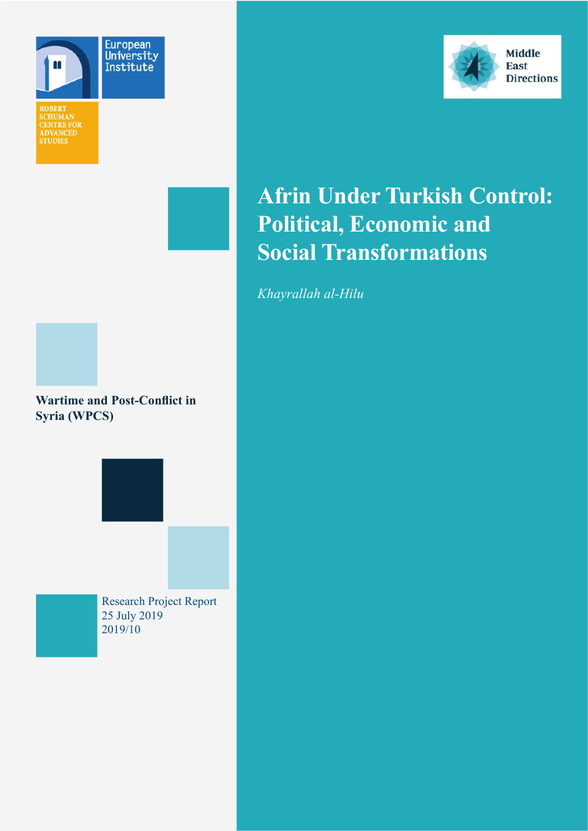









## **Afrin Under Turkish Control: Political, Economic and Social Transformations**

*Khayrallah al-Hilu*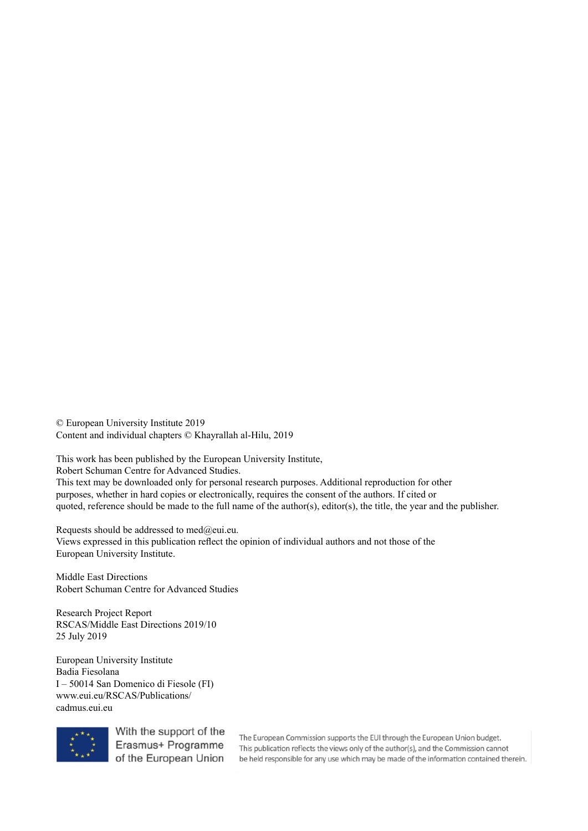© European University Institute 2019 Content and individual chapters © Khayrallah al-Hilu, 2019

This work has been published by the European University Institute,

Robert Schuman Centre for Advanced Studies.

This text may be downloaded only for personal research purposes. Additional reproduction for other purposes, whether in hard copies or electronically, requires the consent of the authors. If cited or quoted, reference should be made to the full name of the author(s), editor(s), the title, the year and the publisher.

Requests should be addressed to med $@$ eui.eu. Views expressed in this publication reflect the opinion of individual authors and not those of the European University Institute.

Middle East Directions Robert Schuman Centre for Advanced Studies

Research Project Report RSCAS/Middle East Directions 2019/10 25 July 2019

European University Institute Badia Fiesolana I – 50014 San Domenico di Fiesole (FI) www.eui.eu/RSCAS/Publications/ cadmus.eui.eu



With the support of the Erasmus+ Programme of the European Union

The European Commission supports the EUI through the European Union budget. This publication reflects the views only of the author(s), and the Commission cannot be held responsible for any use which may be made of the information contained therein.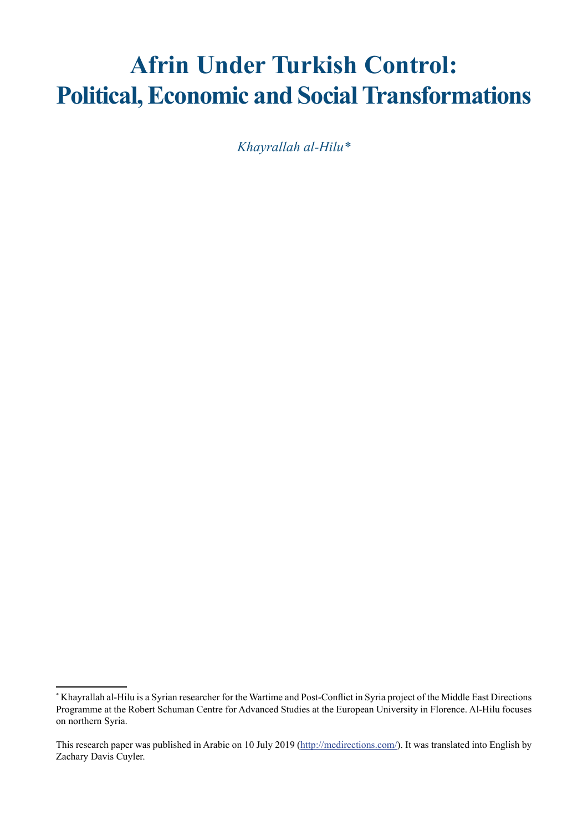# **Afrin Under Turkish Control: Political, Economic and Social Transformations**

*Khayrallah al-Hilu\**

<sup>\*</sup> Khayrallah al-Hilu is a Syrian researcher for the Wartime and Post-Conflict in Syria project of the Middle East Directions Programme at the Robert Schuman Centre for Advanced Studies at the European University in Florence. Al-Hilu focuses on northern Syria.

This research paper was published in Arabic on 10 July 2019 [\(http://medirections.com/](http://medirections.com/)). It was translated into English by Zachary Davis Cuyler.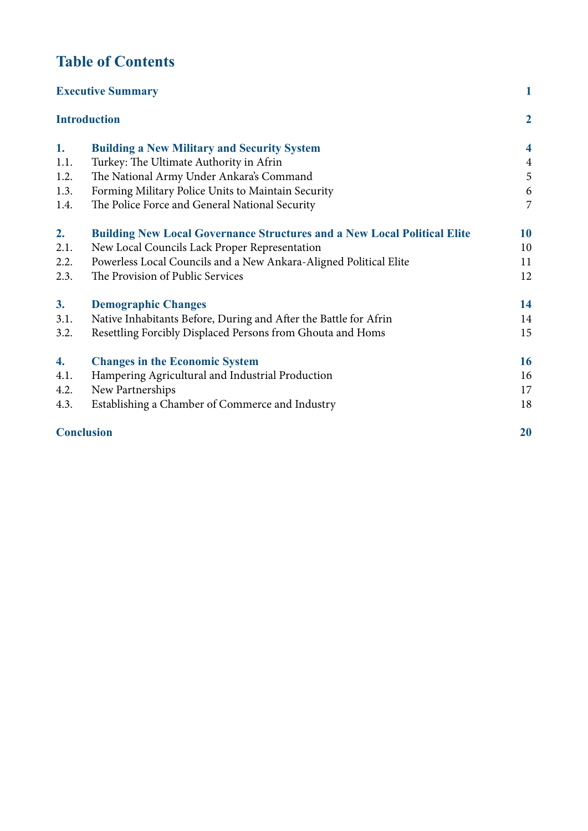## **Table of Contents**

| <b>Executive Summary</b><br><b>Introduction</b> |                                                                                 | $\mathbf{1}$            |
|-------------------------------------------------|---------------------------------------------------------------------------------|-------------------------|
|                                                 |                                                                                 | $\boldsymbol{2}$        |
| 1.                                              | <b>Building a New Military and Security System</b>                              | $\overline{\mathbf{4}}$ |
| 1.1.                                            | Turkey: The Ultimate Authority in Afrin                                         | $\overline{4}$          |
| 1.2.                                            | The National Army Under Ankara's Command                                        | 5                       |
| 1.3.                                            | Forming Military Police Units to Maintain Security                              | $\boldsymbol{6}$        |
| 1.4.                                            | The Police Force and General National Security                                  | 7                       |
| 2.                                              | <b>Building New Local Governance Structures and a New Local Political Elite</b> | <b>10</b>               |
| 2.1.                                            | New Local Councils Lack Proper Representation                                   | 10                      |
| 2.2.                                            | Powerless Local Councils and a New Ankara-Aligned Political Elite               | 11                      |
| 2.3.                                            | The Provision of Public Services                                                | 12                      |
| 3.                                              | <b>Demographic Changes</b>                                                      | 14                      |
| 3.1.                                            | Native Inhabitants Before, During and After the Battle for Afrin                | 14                      |
| 3.2.                                            | Resettling Forcibly Displaced Persons from Ghouta and Homs                      | 15                      |
| 4.                                              | <b>Changes in the Economic System</b>                                           | 16                      |
| 4.1.                                            | Hampering Agricultural and Industrial Production                                | 16                      |
| 4.2.                                            | New Partnerships                                                                | 17                      |
| 4.3.                                            | Establishing a Chamber of Commerce and Industry                                 | 18                      |
| <b>Conclusion</b>                               |                                                                                 | 20                      |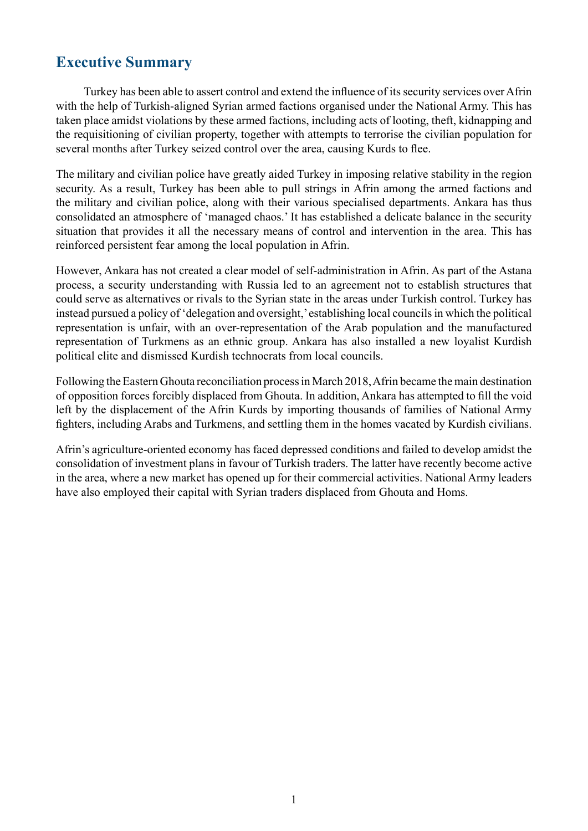## <span id="page-4-0"></span>**Executive Summary**

Turkey has been able to assert control and extend the influence of its security services over Afrin with the help of Turkish-aligned Syrian armed factions organised under the National Army. This has taken place amidst violations by these armed factions, including acts of looting, theft, kidnapping and the requisitioning of civilian property, together with attempts to terrorise the civilian population for several months after Turkey seized control over the area, causing Kurds to flee.

The military and civilian police have greatly aided Turkey in imposing relative stability in the region security. As a result, Turkey has been able to pull strings in Afrin among the armed factions and the military and civilian police, along with their various specialised departments. Ankara has thus consolidated an atmosphere of 'managed chaos.' It has established a delicate balance in the security situation that provides it all the necessary means of control and intervention in the area. This has reinforced persistent fear among the local population in Afrin.

However, Ankara has not created a clear model of self-administration in Afrin. As part of the Astana process, a security understanding with Russia led to an agreement not to establish structures that could serve as alternatives or rivals to the Syrian state in the areas under Turkish control. Turkey has instead pursued a policy of 'delegation and oversight,' establishing local councils in which the political representation is unfair, with an over-representation of the Arab population and the manufactured representation of Turkmens as an ethnic group. Ankara has also installed a new loyalist Kurdish political elite and dismissed Kurdish technocrats from local councils.

Following the Eastern Ghouta reconciliation process in March 2018, Afrin became the main destination of opposition forces forcibly displaced from Ghouta. In addition, Ankara has attempted to fill the void left by the displacement of the Afrin Kurds by importing thousands of families of National Army fighters, including Arabs and Turkmens, and settling them in the homes vacated by Kurdish civilians.

Afrin's agriculture-oriented economy has faced depressed conditions and failed to develop amidst the consolidation of investment plans in favour of Turkish traders. The latter have recently become active in the area, where a new market has opened up for their commercial activities. National Army leaders have also employed their capital with Syrian traders displaced from Ghouta and Homs.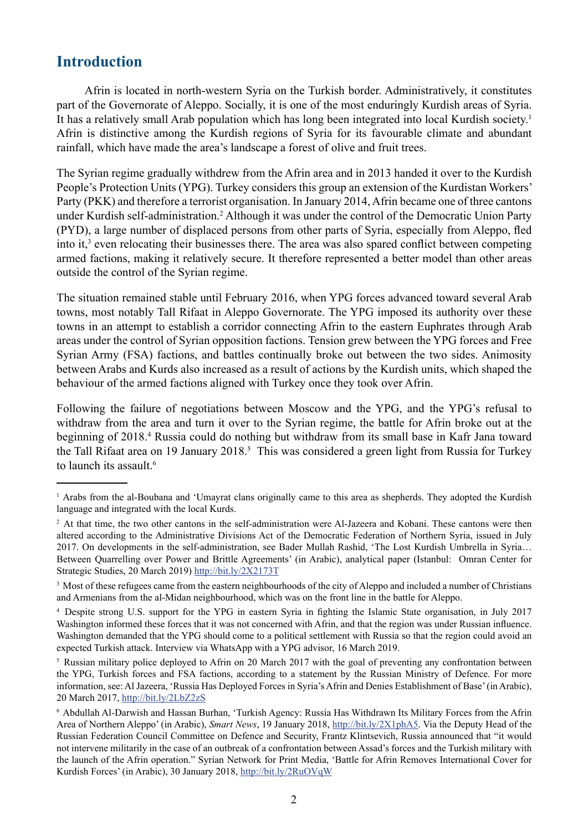## <span id="page-5-0"></span>**Introduction**

Afrin is located in north-western Syria on the Turkish border. Administratively, it constitutes part of the Governorate of Aleppo. Socially, it is one of the most enduringly Kurdish areas of Syria. It has a relatively small Arab population which has long been integrated into local Kurdish society.<sup>1</sup> Afrin is distinctive among the Kurdish regions of Syria for its favourable climate and abundant rainfall, which have made the area's landscape a forest of olive and fruit trees.

The Syrian regime gradually withdrew from the Afrin area and in 2013 handed it over to the Kurdish People's Protection Units (YPG). Turkey considers this group an extension of the Kurdistan Workers' Party (PKK) and therefore a terrorist organisation. In January 2014, Afrin became one of three cantons under Kurdish self-administration.<sup>2</sup> Although it was under the control of the Democratic Union Party (PYD), a large number of displaced persons from other parts of Syria, especially from Aleppo, fled into it,<sup>3</sup> even relocating their businesses there. The area was also spared conflict between competing armed factions, making it relatively secure. It therefore represented a better model than other areas outside the control of the Syrian regime.

The situation remained stable until February 2016, when YPG forces advanced toward several Arab towns, most notably Tall Rifaat in Aleppo Governorate. The YPG imposed its authority over these towns in an attempt to establish a corridor connecting Afrin to the eastern Euphrates through Arab areas under the control of Syrian opposition factions. Tension grew between the YPG forces and Free Syrian Army (FSA) factions, and battles continually broke out between the two sides. Animosity between Arabs and Kurds also increased as a result of actions by the Kurdish units, which shaped the behaviour of the armed factions aligned with Turkey once they took over Afrin.

Following the failure of negotiations between Moscow and the YPG, and the YPG's refusal to withdraw from the area and turn it over to the Syrian regime, the battle for Afrin broke out at the beginning of 2018.<sup>4</sup> Russia could do nothing but withdraw from its small base in Kafr Jana toward the Tall Rifaat area on 19 January 2018.<sup>5</sup> This was considered a green light from Russia for Turkey to launch its assault  $6$ 

<sup>&</sup>lt;sup>1</sup> Arabs from the al-Boubana and 'Umayrat clans originally came to this area as shepherds. They adopted the Kurdish language and integrated with the local Kurds.

<sup>&</sup>lt;sup>2</sup> At that time, the two other cantons in the self-administration were Al-Jazeera and Kobani. These cantons were then altered according to the Administrative Divisions Act of the Democratic Federation of Northern Syria, issued in July 2017. On developments in the self-administration, see Bader Mullah Rashid, 'The Lost Kurdish Umbrella in Syria… Between Quarrelling over Power and Brittle Agreements' (in Arabic), analytical paper (Istanbul: Omran Center for Strategic Studies, 20 March 2019) <http://bit.ly/2X2173T>

<sup>&</sup>lt;sup>3</sup> Most of these refugees came from the eastern neighbourhoods of the city of Aleppo and included a number of Christians and Armenians from the al-Midan neighbourhood, which was on the front line in the battle for Aleppo.

<sup>4</sup> Despite strong U.S. support for the YPG in eastern Syria in fighting the Islamic State organisation, in July 2017 Washington informed these forces that it was not concerned with Afrin, and that the region was under Russian influence. Washington demanded that the YPG should come to a political settlement with Russia so that the region could avoid an expected Turkish attack. Interview via WhatsApp with a YPG advisor, 16 March 2019.

<sup>&</sup>lt;sup>5</sup> Russian military police deployed to Afrin on 20 March 2017 with the goal of preventing any confrontation between the YPG, Turkish forces and FSA factions, according to a statement by the Russian Ministry of Defence. For more information, see: Al Jazeera, 'Russia Has Deployed Forces in Syria's Afrin and Denies Establishment of Base' (in Arabic), 20 March 2017,<http://bit.ly/2LbZ2zS>

<sup>6</sup> Abdullah Al-Darwish and Hassan Burhan, 'Turkish Agency: Russia Has Withdrawn Its Military Forces from the Afrin Area of Northern Aleppo' (in Arabic), *Smart News*, 19 January 2018, [http://bit.ly/2X1phA5.](http://bit.ly/2X1phA5) Via the Deputy Head of the Russian Federation Council Committee on Defence and Security, Frantz Klintsevich, Russia announced that "it would not intervene militarily in the case of an outbreak of a confrontation between Assad's forces and the Turkish military with the launch of the Afrin operation." Syrian Network for Print Media, 'Battle for Afrin Removes International Cover for Kurdish Forces' (in Arabic), 30 January 2018, <http://bit.ly/2RuOVqW>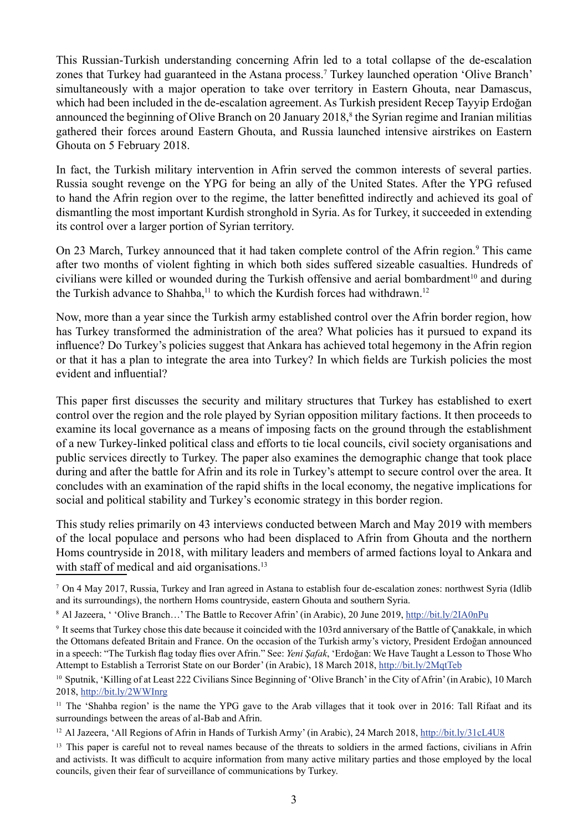This Russian-Turkish understanding concerning Afrin led to a total collapse of the de-escalation zones that Turkey had guaranteed in the Astana process.7 Turkey launched operation 'Olive Branch' simultaneously with a major operation to take over territory in Eastern Ghouta, near Damascus, which had been included in the de-escalation agreement. As Turkish president Recep Tayyip Erdoğan announced the beginning of Olive Branch on 20 January 2018,<sup>8</sup> the Syrian regime and Iranian militias gathered their forces around Eastern Ghouta, and Russia launched intensive airstrikes on Eastern Ghouta on 5 February 2018.

In fact, the Turkish military intervention in Afrin served the common interests of several parties. Russia sought revenge on the YPG for being an ally of the United States. After the YPG refused to hand the Afrin region over to the regime, the latter benefitted indirectly and achieved its goal of dismantling the most important Kurdish stronghold in Syria. As for Turkey, it succeeded in extending its control over a larger portion of Syrian territory.

On 23 March, Turkey announced that it had taken complete control of the Afrin region.<sup>9</sup> This came after two months of violent fighting in which both sides suffered sizeable casualties. Hundreds of civilians were killed or wounded during the Turkish offensive and aerial bombardment<sup>10</sup> and during the Turkish advance to Shahba,<sup>11</sup> to which the Kurdish forces had withdrawn.<sup>12</sup>

Now, more than a year since the Turkish army established control over the Afrin border region, how has Turkey transformed the administration of the area? What policies has it pursued to expand its influence? Do Turkey's policies suggest that Ankara has achieved total hegemony in the Afrin region or that it has a plan to integrate the area into Turkey? In which fields are Turkish policies the most evident and influential?

This paper first discusses the security and military structures that Turkey has established to exert control over the region and the role played by Syrian opposition military factions. It then proceeds to examine its local governance as a means of imposing facts on the ground through the establishment of a new Turkey-linked political class and efforts to tie local councils, civil society organisations and public services directly to Turkey. The paper also examines the demographic change that took place during and after the battle for Afrin and its role in Turkey's attempt to secure control over the area. It concludes with an examination of the rapid shifts in the local economy, the negative implications for social and political stability and Turkey's economic strategy in this border region.

This study relies primarily on 43 interviews conducted between March and May 2019 with members of the local populace and persons who had been displaced to Afrin from Ghouta and the northern Homs countryside in 2018, with military leaders and members of armed factions loyal to Ankara and with staff of medical and aid organisations.<sup>13</sup>

<sup>7</sup> On 4 May 2017, Russia, Turkey and Iran agreed in Astana to establish four de-escalation zones: northwest Syria (Idlib and its surroundings), the northern Homs countryside, eastern Ghouta and southern Syria.

<sup>&</sup>lt;sup>8</sup> Al Jazeera, ' 'Olive Branch...' The Battle to Recover Afrin' (in Arabic), 20 June 2019,<http://bit.ly/2IA0nPu>

<sup>9</sup> It seems that Turkey chose this date because it coincided with the 103rd anniversary of the Battle of Çanakkale, in which the Ottomans defeated Britain and France. On the occasion of the Turkish army's victory, President Erdoğan announced in a speech: "The Turkish flag today flies over Afrin." See: *Yeni Şafak*, 'Erdoğan: We Have Taught a Lesson to Those Who Attempt to Establish a Terrorist State on our Border' (in Arabic), 18 March 2018, [http://bit.ly/2MqtTeb](http://bit.ly/2MqtTeb<061B>)

<sup>&</sup>lt;sup>10</sup> Sputnik, 'Killing of at Least 222 Civilians Since Beginning of 'Olive Branch' in the City of Afrin' (in Arabic), 10 March 2018, <http://bit.ly/2WWInrg>

<sup>&</sup>lt;sup>11</sup> The 'Shahba region' is the name the YPG gave to the Arab villages that it took over in 2016: Tall Rifaat and its surroundings between the areas of al-Bab and Afrin.

<sup>&</sup>lt;sup>12</sup> Al Jazeera, 'All Regions of Afrin in Hands of Turkish Army' (in Arabic), 24 March 2018, <http://bit.ly/31cL4U8>

<sup>&</sup>lt;sup>13</sup> This paper is careful not to reveal names because of the threats to soldiers in the armed factions, civilians in Afrin and activists. It was difficult to acquire information from many active military parties and those employed by the local councils, given their fear of surveillance of communications by Turkey.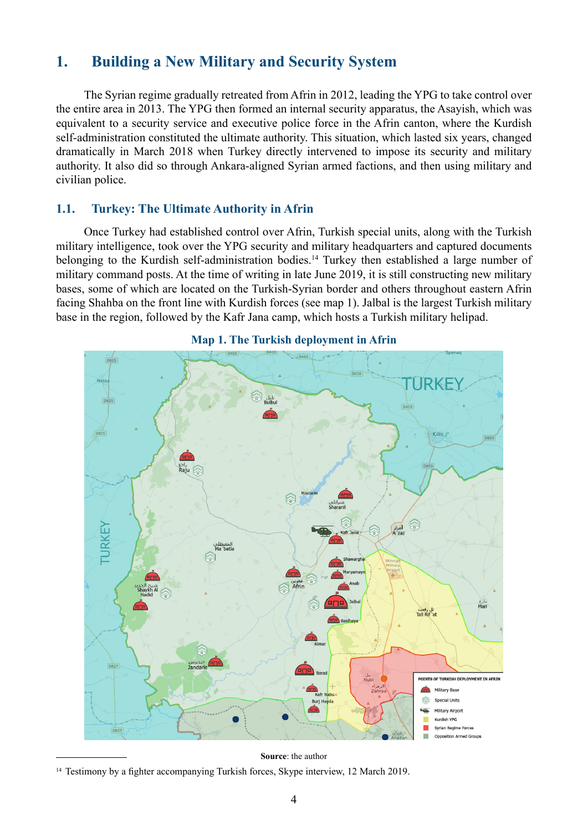## <span id="page-7-0"></span>**1. Building a New Military and Security System**

The Syrian regime gradually retreated from Afrin in 2012, leading the YPG to take control over the entire area in 2013. The YPG then formed an internal security apparatus, the Asayish, which was equivalent to a security service and executive police force in the Afrin canton, where the Kurdish self-administration constituted the ultimate authority. This situation, which lasted six years, changed dramatically in March 2018 when Turkey directly intervened to impose its security and military authority. It also did so through Ankara-aligned Syrian armed factions, and then using military and civilian police.

#### **1.1. Turkey: The Ultimate Authority in Afrin**

Once Turkey had established control over Afrin, Turkish special units, along with the Turkish military intelligence, took over the YPG security and military headquarters and captured documents belonging to the Kurdish self-administration bodies.<sup>14</sup> Turkey then established a large number of military command posts. At the time of writing in late June 2019, it is still constructing new military bases, some of which are located on the Turkish-Syrian border and others throughout eastern Afrin facing Shahba on the front line with Kurdish forces (see map 1). Jalbal is the largest Turkish military base in the region, followed by the Kafr Jana camp, which hosts a Turkish military helipad.



#### **Map 1. The Turkish deployment in Afrin**

**Source**: the author

<sup>&</sup>lt;sup>14</sup> Testimony by a fighter accompanying Turkish forces, Skype interview, 12 March 2019.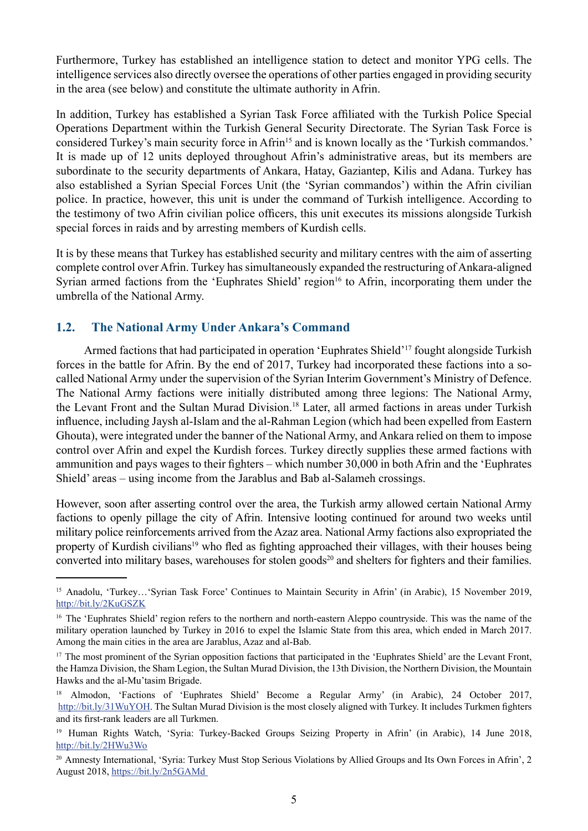<span id="page-8-0"></span>Furthermore, Turkey has established an intelligence station to detect and monitor YPG cells. The intelligence services also directly oversee the operations of other parties engaged in providing security in the area (see below) and constitute the ultimate authority in Afrin.

In addition, Turkey has established a Syrian Task Force affiliated with the Turkish Police Special Operations Department within the Turkish General Security Directorate. The Syrian Task Force is considered Turkey's main security force in Afrin<sup>15</sup> and is known locally as the 'Turkish commandos.' It is made up of 12 units deployed throughout Afrin's administrative areas, but its members are subordinate to the security departments of Ankara, Hatay, Gaziantep, Kilis and Adana. Turkey has also established a Syrian Special Forces Unit (the 'Syrian commandos') within the Afrin civilian police. In practice, however, this unit is under the command of Turkish intelligence. According to the testimony of two Afrin civilian police officers, this unit executes its missions alongside Turkish special forces in raids and by arresting members of Kurdish cells.

It is by these means that Turkey has established security and military centres with the aim of asserting complete control over Afrin. Turkey has simultaneously expanded the restructuring of Ankara-aligned Syrian armed factions from the 'Euphrates Shield' region<sup>16</sup> to Afrin, incorporating them under the umbrella of the National Army.

#### **1.2. The National Army Under Ankara's Command**

Armed factions that had participated in operation 'Euphrates Shield'17 fought alongside Turkish forces in the battle for Afrin. By the end of 2017, Turkey had incorporated these factions into a socalled National Army under the supervision of the Syrian Interim Government's Ministry of Defence. The National Army factions were initially distributed among three legions: The National Army, the Levant Front and the Sultan Murad Division.<sup>18</sup> Later, all armed factions in areas under Turkish influence, including Jaysh al-Islam and the al-Rahman Legion (which had been expelled from Eastern Ghouta), were integrated under the banner of the National Army, and Ankara relied on them to impose control over Afrin and expel the Kurdish forces. Turkey directly supplies these armed factions with ammunition and pays wages to their fighters – which number 30,000 in both Afrin and the 'Euphrates Shield' areas – using income from the Jarablus and Bab al-Salameh crossings.

However, soon after asserting control over the area, the Turkish army allowed certain National Army factions to openly pillage the city of Afrin. Intensive looting continued for around two weeks until military police reinforcements arrived from the Azaz area. National Army factions also expropriated the property of Kurdish civilians<sup>19</sup> who fled as fighting approached their villages, with their houses being converted into military bases, warehouses for stolen goods<sup>20</sup> and shelters for fighters and their families.

<sup>15</sup> Anadolu, 'Turkey…'Syrian Task Force' Continues to Maintain Security in Afrin' (in Arabic), 15 November 2019, <http://bit.ly/2KuGSZK>

<sup>&</sup>lt;sup>16</sup> The 'Euphrates Shield' region refers to the northern and north-eastern Aleppo countryside. This was the name of the military operation launched by Turkey in 2016 to expel the Islamic State from this area, which ended in March 2017. Among the main cities in the area are Jarablus, Azaz and al-Bab.

<sup>&</sup>lt;sup>17</sup> The most prominent of the Syrian opposition factions that participated in the 'Euphrates Shield' are the Levant Front, the Hamza Division, the Sham Legion, the Sultan Murad Division, the 13th Division, the Northern Division, the Mountain Hawks and the al-Mu'tasim Brigade.

<sup>&</sup>lt;sup>18</sup> Almodon, 'Factions of 'Euphrates Shield' Become a Regular Army' (in Arabic), 24 October 2017, <http://bit.ly/31WuYOH>. The Sultan Murad Division is the most closely aligned with Turkey. It includes Turkmen fighters and its first-rank leaders are all Turkmen.

<sup>19</sup> Human Rights Watch, 'Syria: Turkey-Backed Groups Seizing Property in Afrin' (in Arabic), 14 June 2018, <http://bit.ly/2HWu3Wo>

<sup>&</sup>lt;sup>20</sup> Amnesty International, 'Syria: Turkey Must Stop Serious Violations by Allied Groups and Its Own Forces in Afrin', 2 August 2018,<https://bit.ly/2n5GAMd>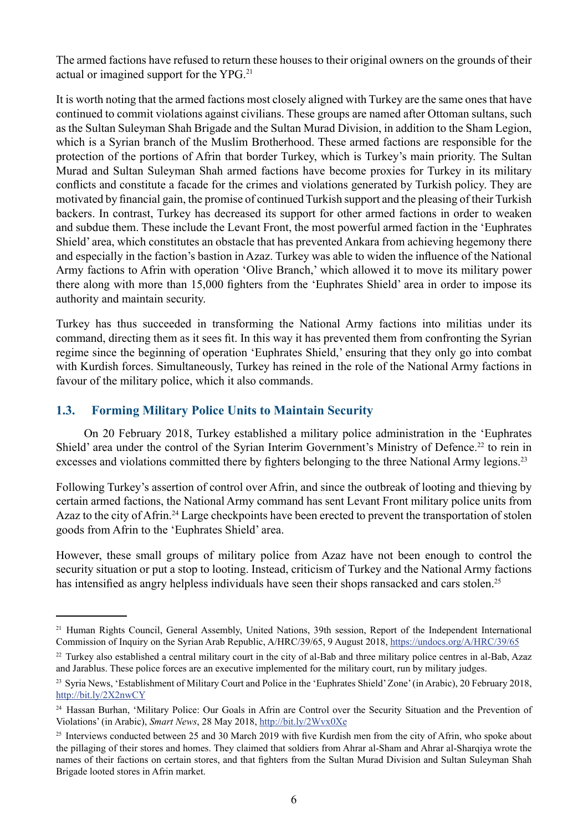<span id="page-9-0"></span>The armed factions have refused to return these houses to their original owners on the grounds of their actual or imagined support for the YPG.21

It is worth noting that the armed factions most closely aligned with Turkey are the same ones that have continued to commit violations against civilians. These groups are named after Ottoman sultans, such as the Sultan Suleyman Shah Brigade and the Sultan Murad Division, in addition to the Sham Legion, which is a Syrian branch of the Muslim Brotherhood. These armed factions are responsible for the protection of the portions of Afrin that border Turkey, which is Turkey's main priority. The Sultan Murad and Sultan Suleyman Shah armed factions have become proxies for Turkey in its military conflicts and constitute a facade for the crimes and violations generated by Turkish policy. They are motivated by financial gain, the promise of continued Turkish support and the pleasing of their Turkish backers. In contrast, Turkey has decreased its support for other armed factions in order to weaken and subdue them. These include the Levant Front, the most powerful armed faction in the 'Euphrates Shield' area, which constitutes an obstacle that has prevented Ankara from achieving hegemony there and especially in the faction's bastion in Azaz. Turkey was able to widen the influence of the National Army factions to Afrin with operation 'Olive Branch,' which allowed it to move its military power there along with more than 15,000 fighters from the 'Euphrates Shield' area in order to impose its authority and maintain security.

Turkey has thus succeeded in transforming the National Army factions into militias under its command, directing them as it sees fit. In this way it has prevented them from confronting the Syrian regime since the beginning of operation 'Euphrates Shield,' ensuring that they only go into combat with Kurdish forces. Simultaneously, Turkey has reined in the role of the National Army factions in favour of the military police, which it also commands.

#### **1.3. Forming Military Police Units to Maintain Security**

On 20 February 2018, Turkey established a military police administration in the 'Euphrates Shield' area under the control of the Syrian Interim Government's Ministry of Defence.<sup>22</sup> to rein in excesses and violations committed there by fighters belonging to the three National Army legions.<sup>23</sup>

Following Turkey's assertion of control over Afrin, and since the outbreak of looting and thieving by certain armed factions, the National Army command has sent Levant Front military police units from Azaz to the city of Afrin.<sup>24</sup> Large checkpoints have been erected to prevent the transportation of stolen goods from Afrin to the 'Euphrates Shield' area.

However, these small groups of military police from Azaz have not been enough to control the security situation or put a stop to looting. Instead, criticism of Turkey and the National Army factions has intensified as angry helpless individuals have seen their shops ransacked and cars stolen.<sup>25</sup>

<sup>&</sup>lt;sup>21</sup> Human Rights Council, General Assembly, United Nations, 39th session, Report of the Independent International Commission of Inquiry on the Syrian Arab Republic, A/HRC/39/65, 9 August 2018,<https://undocs.org/A/HRC/39/65>

<sup>&</sup>lt;sup>22</sup> Turkey also established a central military court in the city of al-Bab and three military police centres in al-Bab, Azaz and Jarablus. These police forces are an executive implemented for the military court, run by military judges.

<sup>&</sup>lt;sup>23</sup> Syria News, 'Establishment of Military Court and Police in the 'Euphrates Shield' Zone' (in Arabic), 20 February 2018, <http://bit.ly/2X2nwCY>

<sup>&</sup>lt;sup>24</sup> Hassan Burhan, 'Military Police: Our Goals in Afrin are Control over the Security Situation and the Prevention of Violations' (in Arabic), *Smart News*, 28 May 2018, <http://bit.ly/2Wvx0Xe>

<sup>&</sup>lt;sup>25</sup> Interviews conducted between 25 and 30 March 2019 with five Kurdish men from the city of Afrin, who spoke about the pillaging of their stores and homes. They claimed that soldiers from Ahrar al-Sham and Ahrar al-Sharqiya wrote the names of their factions on certain stores, and that fighters from the Sultan Murad Division and Sultan Suleyman Shah Brigade looted stores in Afrin market.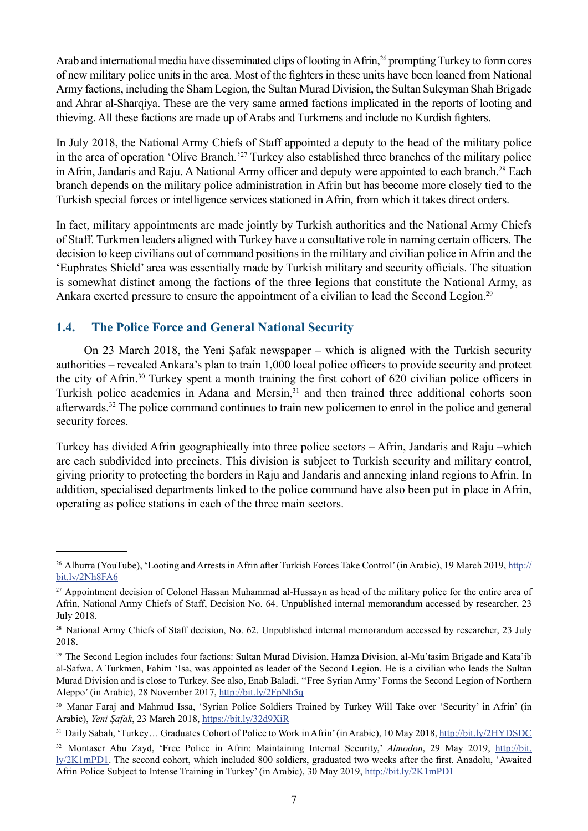<span id="page-10-0"></span>Arab and international media have disseminated clips of looting in Afrin.<sup>26</sup> prompting Turkey to form cores of new military police units in the area. Most of the fighters in these units have been loaned from National Army factions, including the Sham Legion, the Sultan Murad Division, the Sultan Suleyman Shah Brigade and Ahrar al-Sharqiya. These are the very same armed factions implicated in the reports of looting and thieving. All these factions are made up of Arabs and Turkmens and include no Kurdish fighters.

In July 2018, the National Army Chiefs of Staff appointed a deputy to the head of the military police in the area of operation 'Olive Branch.'27 Turkey also established three branches of the military police in Afrin, Jandaris and Raju. A National Army officer and deputy were appointed to each branch.<sup>28</sup> Each branch depends on the military police administration in Afrin but has become more closely tied to the Turkish special forces or intelligence services stationed in Afrin, from which it takes direct orders.

In fact, military appointments are made jointly by Turkish authorities and the National Army Chiefs of Staff. Turkmen leaders aligned with Turkey have a consultative role in naming certain officers. The decision to keep civilians out of command positions in the military and civilian police in Afrin and the 'Euphrates Shield' area was essentially made by Turkish military and security officials. The situation is somewhat distinct among the factions of the three legions that constitute the National Army, as Ankara exerted pressure to ensure the appointment of a civilian to lead the Second Legion.<sup>29</sup>

#### **1.4. The Police Force and General National Security**

On 23 March 2018, the Yeni Şafak newspaper – which is aligned with the Turkish security authorities – revealed Ankara's plan to train 1,000 local police officers to provide security and protect the city of Afrin.30 Turkey spent a month training the first cohort of 620 civilian police officers in Turkish police academies in Adana and Mersin,<sup>31</sup> and then trained three additional cohorts soon afterwards.32 The police command continues to train new policemen to enrol in the police and general security forces.

Turkey has divided Afrin geographically into three police sectors – Afrin, Jandaris and Raju –which are each subdivided into precincts. This division is subject to Turkish security and military control, giving priority to protecting the borders in Raju and Jandaris and annexing inland regions to Afrin. In addition, specialised departments linked to the police command have also been put in place in Afrin, operating as police stations in each of the three main sectors.

<sup>&</sup>lt;sup>26</sup> Alhurra (YouTube), 'Looting and Arrests in Afrin after Turkish Forces Take Control' (in Arabic), 19 March 2019, [http://](http://bit.ly/2Nh8FA6) [bit.ly/2Nh8FA6](http://bit.ly/2Nh8FA6)

<sup>&</sup>lt;sup>27</sup> Appointment decision of Colonel Hassan Muhammad al-Hussayn as head of the military police for the entire area of Afrin, National Army Chiefs of Staff, Decision No. 64. Unpublished internal memorandum accessed by researcher, 23 July 2018.

<sup>&</sup>lt;sup>28</sup> National Army Chiefs of Staff decision, No. 62. Unpublished internal memorandum accessed by researcher, 23 July 2018.

<sup>29</sup> The Second Legion includes four factions: Sultan Murad Division, Hamza Division, al-Mu'tasim Brigade and Kata'ib al-Safwa. A Turkmen, Fahim 'Isa, was appointed as leader of the Second Legion. He is a civilian who leads the Sultan Murad Division and is close to Turkey. See also, Enab Baladi, ''Free Syrian Army' Forms the Second Legion of Northern Aleppo' (in Arabic), 28 November 2017,<http://bit.ly/2FpNh5q>

<sup>30</sup> Manar Faraj and Mahmud Issa, 'Syrian Police Soldiers Trained by Turkey Will Take over 'Security' in Afrin' (in Arabic), *Yeni Şafak*, 23 March 2018, <https://bit.ly/32d9XiR>

<sup>31</sup> Daily Sabah, 'Turkey... Graduates Cohort of Police to Work in Afrin' (in Arabic), 10 May 2018,<http://bit.ly/2HYDSDC>

<sup>32</sup> Montaser Abu Zayd, 'Free Police in Afrin: Maintaining Internal Security,' *Almodon*, 29 May 2019, [http://bit.](http://bit.ly/2K1mPD1) [ly/2K1mPD1](http://bit.ly/2K1mPD1). The second cohort, which included 800 soldiers, graduated two weeks after the first. Anadolu, 'Awaited Afrin Police Subject to Intense Training in Turkey' (in Arabic), 30 May 2019, <http://bit.ly/2K1mPD1>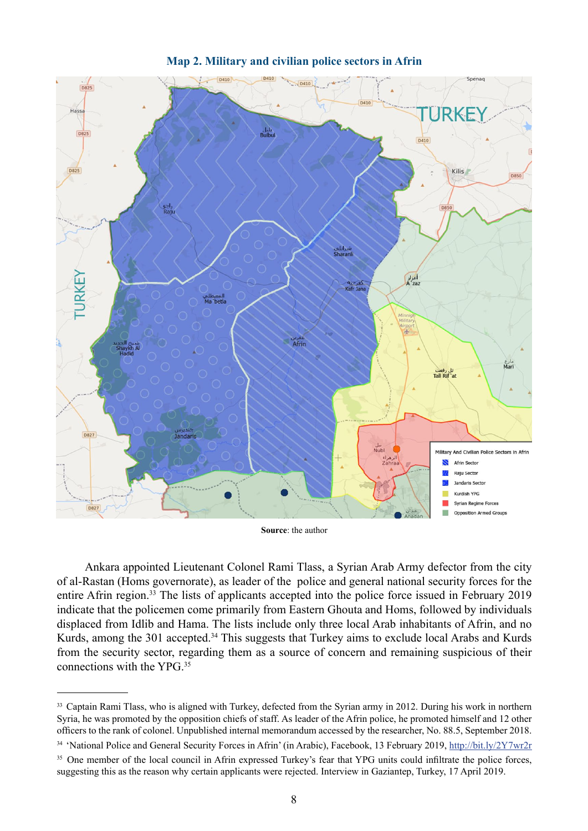

#### **Map 2. Military and civilian police sectors in Afrin**

**Source**: the author

Ankara appointed Lieutenant Colonel Rami Tlass, a Syrian Arab Army defector from the city of al-Rastan (Homs governorate), as leader of the police and general national security forces for the entire Afrin region.<sup>33</sup> The lists of applicants accepted into the police force issued in February 2019 indicate that the policemen come primarily from Eastern Ghouta and Homs, followed by individuals displaced from Idlib and Hama. The lists include only three local Arab inhabitants of Afrin, and no Kurds, among the 301 accepted.<sup>34</sup> This suggests that Turkey aims to exclude local Arabs and Kurds from the security sector, regarding them as a source of concern and remaining suspicious of their connections with the YPG.35

<sup>&</sup>lt;sup>33</sup> Captain Rami Tlass, who is aligned with Turkey, defected from the Syrian army in 2012. During his work in northern Syria, he was promoted by the opposition chiefs of staff. As leader of the Afrin police, he promoted himself and 12 other officers to the rank of colonel. Unpublished internal memorandum accessed by the researcher, No. 88.5, September 2018.

<sup>&</sup>lt;sup>34</sup> 'National Police and General Security Forces in Afrin' (in Arabic), Facebook, 13 February 2019,<http://bit.ly/2Y7wr2r>

<sup>&</sup>lt;sup>35</sup> One member of the local council in Afrin expressed Turkey's fear that YPG units could infiltrate the police forces, suggesting this as the reason why certain applicants were rejected. Interview in Gaziantep, Turkey, 17 April 2019.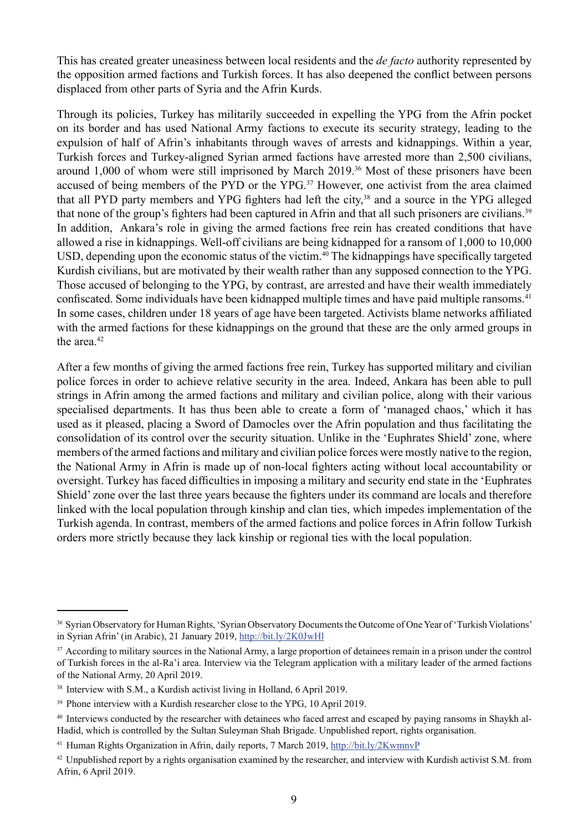This has created greater uneasiness between local residents and the *de facto* authority represented by the opposition armed factions and Turkish forces. It has also deepened the conflict between persons displaced from other parts of Syria and the Afrin Kurds.

Through its policies, Turkey has militarily succeeded in expelling the YPG from the Afrin pocket on its border and has used National Army factions to execute its security strategy, leading to the expulsion of half of Afrin's inhabitants through waves of arrests and kidnappings. Within a year, Turkish forces and Turkey-aligned Syrian armed factions have arrested more than 2,500 civilians, around 1,000 of whom were still imprisoned by March 2019.<sup>36</sup> Most of these prisoners have been accused of being members of the PYD or the YPG.<sup>37</sup> However, one activist from the area claimed that all PYD party members and YPG fighters had left the city,<sup>38</sup> and a source in the YPG alleged that none of the group's fighters had been captured in Afrin and that all such prisoners are civilians.<sup>39</sup> In addition, Ankara's role in giving the armed factions free rein has created conditions that have allowed a rise in kidnappings. Well-off civilians are being kidnapped for a ransom of 1,000 to 10,000 USD, depending upon the economic status of the victim.<sup>40</sup> The kidnappings have specifically targeted Kurdish civilians, but are motivated by their wealth rather than any supposed connection to the YPG. Those accused of belonging to the YPG, by contrast, are arrested and have their wealth immediately confiscated. Some individuals have been kidnapped multiple times and have paid multiple ransoms.<sup>41</sup> In some cases, children under 18 years of age have been targeted. Activists blame networks affiliated with the armed factions for these kidnappings on the ground that these are the only armed groups in the area.<sup>42</sup>

After a few months of giving the armed factions free rein, Turkey has supported military and civilian police forces in order to achieve relative security in the area. Indeed, Ankara has been able to pull strings in Afrin among the armed factions and military and civilian police, along with their various specialised departments. It has thus been able to create a form of 'managed chaos,' which it has used as it pleased, placing a Sword of Damocles over the Afrin population and thus facilitating the consolidation of its control over the security situation. Unlike in the 'Euphrates Shield' zone, where members of the armed factions and military and civilian police forces were mostly native to the region, the National Army in Afrin is made up of non-local fighters acting without local accountability or oversight. Turkey has faced difficulties in imposing a military and security end state in the 'Euphrates Shield' zone over the last three years because the fighters under its command are locals and therefore linked with the local population through kinship and clan ties, which impedes implementation of the Turkish agenda. In contrast, members of the armed factions and police forces in Afrin follow Turkish orders more strictly because they lack kinship or regional ties with the local population.

<sup>&</sup>lt;sup>36</sup> Syrian Observatory for Human Rights, 'Syrian Observatory Documents the Outcome of One Year of 'Turkish Violations' in Syrian Afrin' (in Arabic), 21 January 2019,<http://bit.ly/2K0JwHl>

<sup>&</sup>lt;sup>37</sup> According to military sources in the National Army, a large proportion of detainees remain in a prison under the control of Turkish forces in the al-Ra'i area. Interview via the Telegram application with a military leader of the armed factions of the National Army, 20 April 2019.

<sup>38</sup> Interview with S.M., a Kurdish activist living in Holland, 6 April 2019.

<sup>&</sup>lt;sup>39</sup> Phone interview with a Kurdish researcher close to the YPG, 10 April 2019.

<sup>&</sup>lt;sup>40</sup> Interviews conducted by the researcher with detainees who faced arrest and escaped by paying ransoms in Shaykh al-Hadid, which is controlled by the Sultan Suleyman Shah Brigade. Unpublished report, rights organisation.

<sup>&</sup>lt;sup>41</sup> Human Rights Organization in Afrin, daily reports, 7 March 2019, <http://bit.ly/2KwmnvP>

 $42$  Unpublished report by a rights organisation examined by the researcher, and interview with Kurdish activist S.M. from Afrin, 6 April 2019.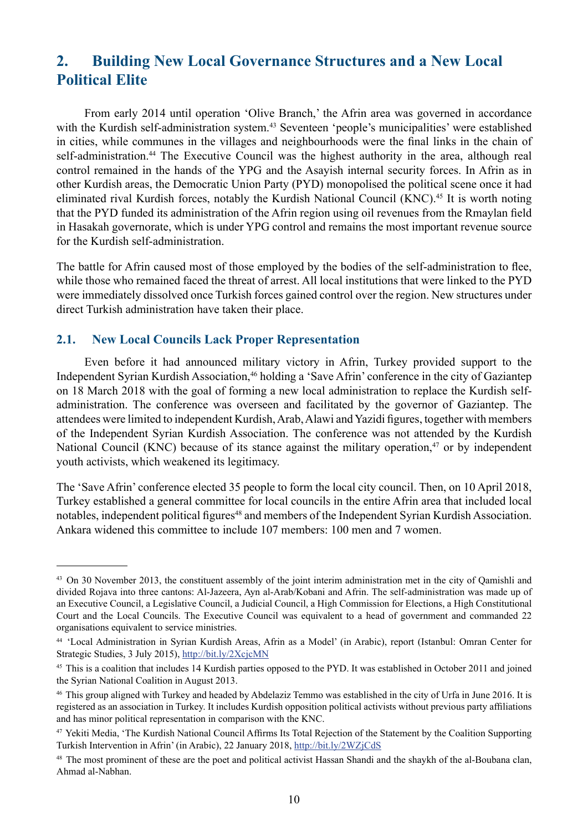## <span id="page-13-0"></span>**2. Building New Local Governance Structures and a New Local Political Elite**

From early 2014 until operation 'Olive Branch,' the Afrin area was governed in accordance with the Kurdish self-administration system.<sup>43</sup> Seventeen 'people's municipalities' were established in cities, while communes in the villages and neighbourhoods were the final links in the chain of self-administration.<sup>44</sup> The Executive Council was the highest authority in the area, although real control remained in the hands of the YPG and the Asayish internal security forces. In Afrin as in other Kurdish areas, the Democratic Union Party (PYD) monopolised the political scene once it had eliminated rival Kurdish forces, notably the Kurdish National Council (KNC).45 It is worth noting that the PYD funded its administration of the Afrin region using oil revenues from the Rmaylan field in Hasakah governorate, which is under YPG control and remains the most important revenue source for the Kurdish self-administration.

The battle for Afrin caused most of those employed by the bodies of the self-administration to flee, while those who remained faced the threat of arrest. All local institutions that were linked to the PYD were immediately dissolved once Turkish forces gained control over the region. New structures under direct Turkish administration have taken their place.

#### **2.1. New Local Councils Lack Proper Representation**

Even before it had announced military victory in Afrin, Turkey provided support to the Independent Syrian Kurdish Association,<sup>46</sup> holding a 'Save Afrin' conference in the city of Gaziantep on 18 March 2018 with the goal of forming a new local administration to replace the Kurdish selfadministration. The conference was overseen and facilitated by the governor of Gaziantep. The attendees were limited to independent Kurdish, Arab, Alawi and Yazidi figures, together with members of the Independent Syrian Kurdish Association. The conference was not attended by the Kurdish National Council (KNC) because of its stance against the military operation, $47$  or by independent youth activists, which weakened its legitimacy.

The 'Save Afrin' conference elected 35 people to form the local city council. Then, on 10 April 2018, Turkey established a general committee for local councils in the entire Afrin area that included local notables, independent political figures<sup>48</sup> and members of the Independent Syrian Kurdish Association. Ankara widened this committee to include 107 members: 100 men and 7 women.

<sup>&</sup>lt;sup>43</sup> On 30 November 2013, the constituent assembly of the joint interim administration met in the city of Oamishli and divided Rojava into three cantons: Al-Jazeera, Ayn al-Arab/Kobani and Afrin. The self-administration was made up of an Executive Council, a Legislative Council, a Judicial Council, a High Commission for Elections, a High Constitutional Court and the Local Councils. The Executive Council was equivalent to a head of government and commanded 22 organisations equivalent to service ministries.

<sup>44 &#</sup>x27;Local Administration in Syrian Kurdish Areas, Afrin as a Model' (in Arabic), report (Istanbul: Omran Center for Strategic Studies, 3 July 2015), <http://bit.ly/2XcjcMN>

<sup>&</sup>lt;sup>45</sup> This is a coalition that includes 14 Kurdish parties opposed to the PYD. It was established in October 2011 and joined the Syrian National Coalition in August 2013.

<sup>&</sup>lt;sup>46</sup> This group aligned with Turkey and headed by Abdelaziz Temmo was established in the city of Urfa in June 2016. It is registered as an association in Turkey. It includes Kurdish opposition political activists without previous party affiliations and has minor political representation in comparison with the KNC.

<sup>47</sup> Yekiti Media, 'The Kurdish National Council Affirms Its Total Rejection of the Statement by the Coalition Supporting Turkish Intervention in Afrin' (in Arabic), 22 January 2018, <http://bit.ly/2WZjCdS>

<sup>&</sup>lt;sup>48</sup> The most prominent of these are the poet and political activist Hassan Shandi and the shaykh of the al-Boubana clan, Ahmad al-Nabhan.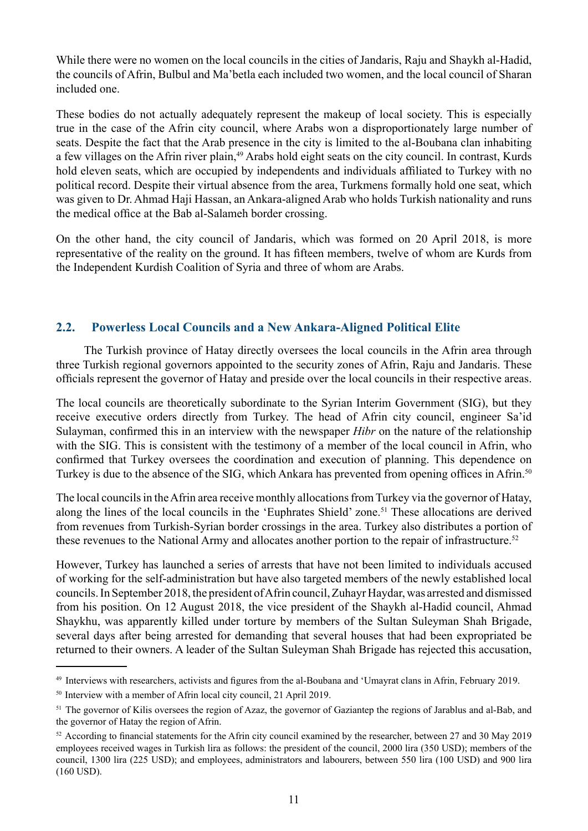<span id="page-14-0"></span>While there were no women on the local councils in the cities of Jandaris, Raju and Shaykh al-Hadid, the councils of Afrin, Bulbul and Ma'betla each included two women, and the local council of Sharan included one.

These bodies do not actually adequately represent the makeup of local society. This is especially true in the case of the Afrin city council, where Arabs won a disproportionately large number of seats. Despite the fact that the Arab presence in the city is limited to the al-Boubana clan inhabiting a few villages on the Afrin river plain,<sup>49</sup> Arabs hold eight seats on the city council. In contrast, Kurds hold eleven seats, which are occupied by independents and individuals affiliated to Turkey with no political record. Despite their virtual absence from the area, Turkmens formally hold one seat, which was given to Dr. Ahmad Haji Hassan, an Ankara-aligned Arab who holds Turkish nationality and runs the medical office at the Bab al-Salameh border crossing.

On the other hand, the city council of Jandaris, which was formed on 20 April 2018, is more representative of the reality on the ground. It has fifteen members, twelve of whom are Kurds from the Independent Kurdish Coalition of Syria and three of whom are Arabs.

#### **2.2. Powerless Local Councils and a New Ankara-Aligned Political Elite**

The Turkish province of Hatay directly oversees the local councils in the Afrin area through three Turkish regional governors appointed to the security zones of Afrin, Raju and Jandaris. These officials represent the governor of Hatay and preside over the local councils in their respective areas.

The local councils are theoretically subordinate to the Syrian Interim Government (SIG), but they receive executive orders directly from Turkey. The head of Afrin city council, engineer Sa'id Sulayman, confirmed this in an interview with the newspaper *Hibr* on the nature of the relationship with the SIG. This is consistent with the testimony of a member of the local council in Afrin, who confirmed that Turkey oversees the coordination and execution of planning. This dependence on Turkey is due to the absence of the SIG, which Ankara has prevented from opening offices in Afrin.<sup>50</sup>

The local councils in the Afrin area receive monthly allocations from Turkey via the governor of Hatay, along the lines of the local councils in the 'Euphrates Shield' zone.<sup>51</sup> These allocations are derived from revenues from Turkish-Syrian border crossings in the area. Turkey also distributes a portion of these revenues to the National Army and allocates another portion to the repair of infrastructure.<sup>52</sup>

However, Turkey has launched a series of arrests that have not been limited to individuals accused of working for the self-administration but have also targeted members of the newly established local councils. In September 2018, the president of Afrin council, Zuhayr Haydar, was arrested and dismissed from his position. On 12 August 2018, the vice president of the Shaykh al-Hadid council, Ahmad Shaykhu, was apparently killed under torture by members of the Sultan Suleyman Shah Brigade, several days after being arrested for demanding that several houses that had been expropriated be returned to their owners. A leader of the Sultan Suleyman Shah Brigade has rejected this accusation,

<sup>49</sup> Interviews with researchers, activists and figures from the al-Boubana and 'Umayrat clans in Afrin, February 2019.

<sup>50</sup> Interview with a member of Afrin local city council, 21 April 2019.

<sup>&</sup>lt;sup>51</sup> The governor of Kilis oversees the region of Azaz, the governor of Gaziantep the regions of Jarablus and al-Bab, and the governor of Hatay the region of Afrin.

<sup>&</sup>lt;sup>52</sup> According to financial statements for the Afrin city council examined by the researcher, between 27 and 30 May 2019 employees received wages in Turkish lira as follows: the president of the council, 2000 lira (350 USD); members of the council, 1300 lira (225 USD); and employees, administrators and labourers, between 550 lira (100 USD) and 900 lira (160 USD).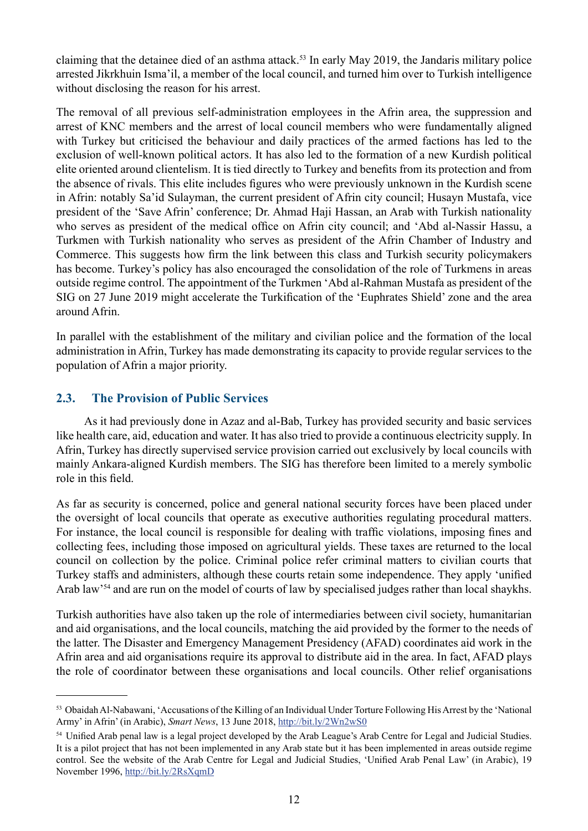<span id="page-15-0"></span>claiming that the detainee died of an asthma attack.53 In early May 2019, the Jandaris military police arrested Jikrkhuin Isma'il, a member of the local council, and turned him over to Turkish intelligence without disclosing the reason for his arrest.

The removal of all previous self-administration employees in the Afrin area, the suppression and arrest of KNC members and the arrest of local council members who were fundamentally aligned with Turkey but criticised the behaviour and daily practices of the armed factions has led to the exclusion of well-known political actors. It has also led to the formation of a new Kurdish political elite oriented around clientelism. It is tied directly to Turkey and benefits from its protection and from the absence of rivals. This elite includes figures who were previously unknown in the Kurdish scene in Afrin: notably Sa'id Sulayman, the current president of Afrin city council; Husayn Mustafa, vice president of the 'Save Afrin' conference; Dr. Ahmad Haji Hassan, an Arab with Turkish nationality who serves as president of the medical office on Afrin city council; and 'Abd al-Nassir Hassu, a Turkmen with Turkish nationality who serves as president of the Afrin Chamber of Industry and Commerce. This suggests how firm the link between this class and Turkish security policymakers has become. Turkey's policy has also encouraged the consolidation of the role of Turkmens in areas outside regime control. The appointment of the Turkmen 'Abd al-Rahman Mustafa as president of the SIG on 27 June 2019 might accelerate the Turkification of the 'Euphrates Shield' zone and the area around Afrin.

In parallel with the establishment of the military and civilian police and the formation of the local administration in Afrin, Turkey has made demonstrating its capacity to provide regular services to the population of Afrin a major priority.

#### **2.3. The Provision of Public Services**

As it had previously done in Azaz and al-Bab, Turkey has provided security and basic services like health care, aid, education and water. It has also tried to provide a continuous electricity supply. In Afrin, Turkey has directly supervised service provision carried out exclusively by local councils with mainly Ankara-aligned Kurdish members. The SIG has therefore been limited to a merely symbolic role in this field.

As far as security is concerned, police and general national security forces have been placed under the oversight of local councils that operate as executive authorities regulating procedural matters. For instance, the local council is responsible for dealing with traffic violations, imposing fines and collecting fees, including those imposed on agricultural yields. These taxes are returned to the local council on collection by the police. Criminal police refer criminal matters to civilian courts that Turkey staffs and administers, although these courts retain some independence. They apply 'unified Arab law<sup>34</sup> and are run on the model of courts of law by specialised judges rather than local shaykhs.

Turkish authorities have also taken up the role of intermediaries between civil society, humanitarian and aid organisations, and the local councils, matching the aid provided by the former to the needs of the latter. The Disaster and Emergency Management Presidency (AFAD) coordinates aid work in the Afrin area and aid organisations require its approval to distribute aid in the area. In fact, AFAD plays the role of coordinator between these organisations and local councils. Other relief organisations

<sup>53</sup> Obaidah Al-Nabawani, 'Accusations of the Killing of an Individual Under Torture Following His Arrest by the 'National Army' in Afrin' (in Arabic), *Smart News*, 13 June 2018, <http://bit.ly/2Wn2wS0>

<sup>&</sup>lt;sup>54</sup> Unified Arab penal law is a legal project developed by the Arab League's Arab Centre for Legal and Judicial Studies. It is a pilot project that has not been implemented in any Arab state but it has been implemented in areas outside regime control. See the website of the Arab Centre for Legal and Judicial Studies, 'Unified Arab Penal Law' (in Arabic), 19 November 1996, <http://bit.ly/2RsXqmD>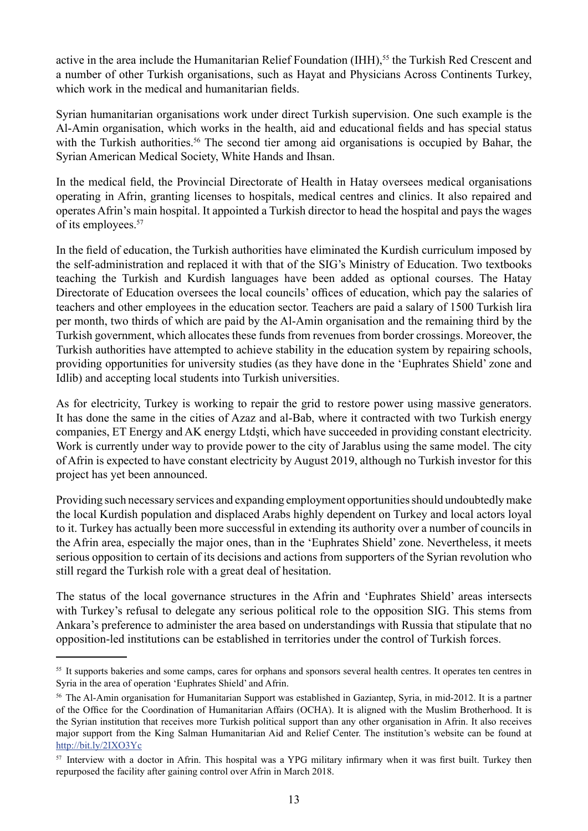active in the area include the Humanitarian Relief Foundation (IHH),<sup>55</sup> the Turkish Red Crescent and a number of other Turkish organisations, such as Hayat and Physicians Across Continents Turkey, which work in the medical and humanitarian fields.

Syrian humanitarian organisations work under direct Turkish supervision. One such example is the Al-Amin organisation, which works in the health, aid and educational fields and has special status with the Turkish authorities.<sup>56</sup> The second tier among aid organisations is occupied by Bahar, the Syrian American Medical Society, White Hands and Ihsan.

In the medical field, the Provincial Directorate of Health in Hatay oversees medical organisations operating in Afrin, granting licenses to hospitals, medical centres and clinics. It also repaired and operates Afrin's main hospital. It appointed a Turkish director to head the hospital and pays the wages of its employees.<sup>57</sup>

In the field of education, the Turkish authorities have eliminated the Kurdish curriculum imposed by the self-administration and replaced it with that of the SIG's Ministry of Education. Two textbooks teaching the Turkish and Kurdish languages have been added as optional courses. The Hatay Directorate of Education oversees the local councils' offices of education, which pay the salaries of teachers and other employees in the education sector. Teachers are paid a salary of 1500 Turkish lira per month, two thirds of which are paid by the Al-Amin organisation and the remaining third by the Turkish government, which allocates these funds from revenues from border crossings. Moreover, the Turkish authorities have attempted to achieve stability in the education system by repairing schools, providing opportunities for university studies (as they have done in the 'Euphrates Shield' zone and Idlib) and accepting local students into Turkish universities.

As for electricity, Turkey is working to repair the grid to restore power using massive generators. It has done the same in the cities of Azaz and al-Bab, where it contracted with two Turkish energy companies, ET Energy and AK energy Ltdşti, which have succeeded in providing constant electricity. Work is currently under way to provide power to the city of Jarablus using the same model. The city of Afrin is expected to have constant electricity by August 2019, although no Turkish investor for this project has yet been announced.

Providing such necessary services and expanding employment opportunities should undoubtedly make the local Kurdish population and displaced Arabs highly dependent on Turkey and local actors loyal to it. Turkey has actually been more successful in extending its authority over a number of councils in the Afrin area, especially the major ones, than in the 'Euphrates Shield' zone. Nevertheless, it meets serious opposition to certain of its decisions and actions from supporters of the Syrian revolution who still regard the Turkish role with a great deal of hesitation.

The status of the local governance structures in the Afrin and 'Euphrates Shield' areas intersects with Turkey's refusal to delegate any serious political role to the opposition SIG. This stems from Ankara's preference to administer the area based on understandings with Russia that stipulate that no opposition-led institutions can be established in territories under the control of Turkish forces.

<sup>&</sup>lt;sup>55</sup> It supports bakeries and some camps, cares for orphans and sponsors several health centres. It operates ten centres in Syria in the area of operation 'Euphrates Shield' and Afrin.

<sup>&</sup>lt;sup>56</sup> The Al-Amin organisation for Humanitarian Support was established in Gaziantep, Syria, in mid-2012. It is a partner of the Office for the Coordination of Humanitarian Affairs (OCHA). It is aligned with the Muslim Brotherhood. It is the Syrian institution that receives more Turkish political support than any other organisation in Afrin. It also receives major support from the King Salman Humanitarian Aid and Relief Center. The institution's website can be found at <http://bit.ly/2IXO3Yc>

<sup>&</sup>lt;sup>57</sup> Interview with a doctor in Afrin. This hospital was a YPG military infirmary when it was first built. Turkey then repurposed the facility after gaining control over Afrin in March 2018.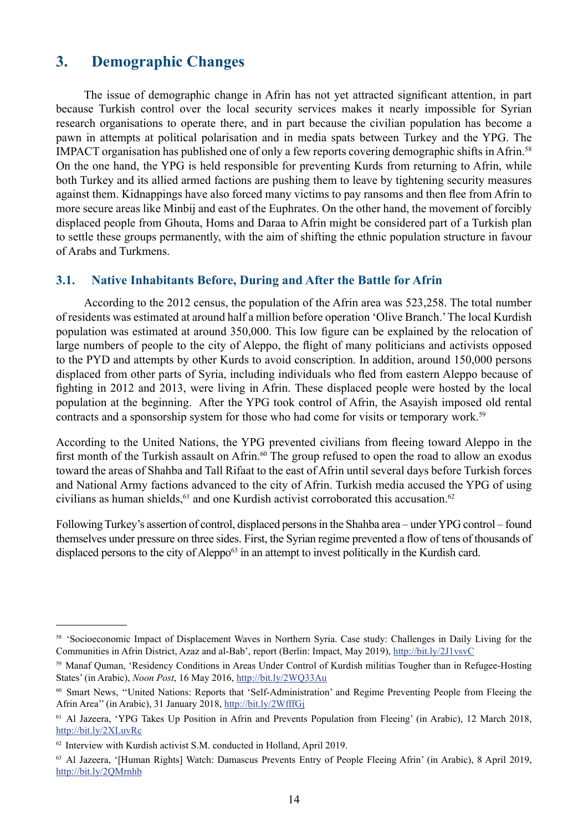## <span id="page-17-0"></span>**3. Demographic Changes**

The issue of demographic change in Afrin has not yet attracted significant attention, in part because Turkish control over the local security services makes it nearly impossible for Syrian research organisations to operate there, and in part because the civilian population has become a pawn in attempts at political polarisation and in media spats between Turkey and the YPG. The IMPACT organisation has published one of only a few reports covering demographic shifts in Afrin.58 On the one hand, the YPG is held responsible for preventing Kurds from returning to Afrin, while both Turkey and its allied armed factions are pushing them to leave by tightening security measures against them. Kidnappings have also forced many victims to pay ransoms and then flee from Afrin to more secure areas like Minbij and east of the Euphrates. On the other hand, the movement of forcibly displaced people from Ghouta, Homs and Daraa to Afrin might be considered part of a Turkish plan to settle these groups permanently, with the aim of shifting the ethnic population structure in favour of Arabs and Turkmens.

#### **3.1. Native Inhabitants Before, During and After the Battle for Afrin**

According to the 2012 census, the population of the Afrin area was 523,258. The total number of residents was estimated at around half a million before operation 'Olive Branch.' The local Kurdish population was estimated at around 350,000. This low figure can be explained by the relocation of large numbers of people to the city of Aleppo, the flight of many politicians and activists opposed to the PYD and attempts by other Kurds to avoid conscription. In addition, around 150,000 persons displaced from other parts of Syria, including individuals who fled from eastern Aleppo because of fighting in 2012 and 2013, were living in Afrin. These displaced people were hosted by the local population at the beginning. After the YPG took control of Afrin, the Asayish imposed old rental contracts and a sponsorship system for those who had come for visits or temporary work.<sup>59</sup>

According to the United Nations, the YPG prevented civilians from fleeing toward Aleppo in the first month of the Turkish assault on Afrin.<sup>60</sup> The group refused to open the road to allow an exodus toward the areas of Shahba and Tall Rifaat to the east of Afrin until several days before Turkish forces and National Army factions advanced to the city of Afrin. Turkish media accused the YPG of using civilians as human shields, $61$  and one Kurdish activist corroborated this accusation. $62$ 

Following Turkey's assertion of control, displaced persons in the Shahba area – under YPG control – found themselves under pressure on three sides. First, the Syrian regime prevented a flow of tens of thousands of displaced persons to the city of Aleppo<sup>63</sup> in an attempt to invest politically in the Kurdish card.

<sup>58 &#</sup>x27;Socioeconomic Impact of Displacement Waves in Northern Syria. Case study: Challenges in Daily Living for the Communities in Afrin District, Azaz and al-Bab', report (Berlin: Impact, May 2019),<http://bit.ly/2J1vsvC>

<sup>59</sup> Manaf Quman, 'Residency Conditions in Areas Under Control of Kurdish militias Tougher than in Refugee-Hosting States' (in Arabic), *Noon Post*, 16 May 2016, <http://bit.ly/2WQ33Au>

<sup>60</sup> Smart News, ''United Nations: Reports that 'Self-Administration' and Regime Preventing People from Fleeing the Afrin Area'' (in Arabic), 31 January 2018,<http://bit.ly/2WfffGj>

<sup>61</sup> Al Jazeera, 'YPG Takes Up Position in Afrin and Prevents Population from Fleeing' (in Arabic), 12 March 2018, <http://bit.ly/2XLuvRc>

<sup>62</sup> Interview with Kurdish activist S.M. conducted in Holland, April 2019.

<sup>63</sup> Al Jazeera, '[Human Rights] Watch: Damascus Prevents Entry of People Fleeing Afrin' (in Arabic), 8 April 2019, <http://bit.ly/2QMrnhb>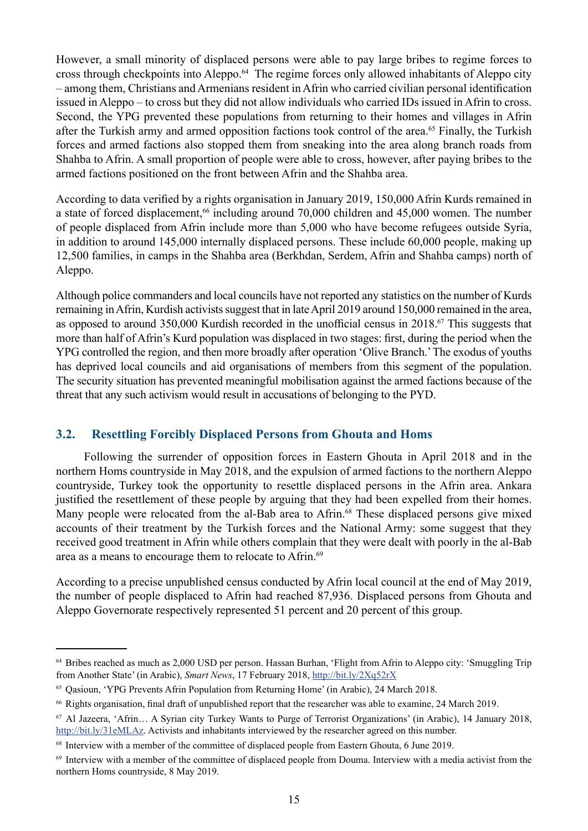<span id="page-18-0"></span>However, a small minority of displaced persons were able to pay large bribes to regime forces to cross through checkpoints into Aleppo.64 The regime forces only allowed inhabitants of Aleppo city – among them, Christians and Armenians resident in Afrin who carried civilian personal identification issued in Aleppo – to cross but they did not allow individuals who carried IDs issued in Afrin to cross. Second, the YPG prevented these populations from returning to their homes and villages in Afrin after the Turkish army and armed opposition factions took control of the area.<sup>65</sup> Finally, the Turkish forces and armed factions also stopped them from sneaking into the area along branch roads from Shahba to Afrin. A small proportion of people were able to cross, however, after paying bribes to the armed factions positioned on the front between Afrin and the Shahba area.

According to data verified by a rights organisation in January 2019, 150,000 Afrin Kurds remained in a state of forced displacement.<sup>66</sup> including around 70,000 children and 45,000 women. The number of people displaced from Afrin include more than 5,000 who have become refugees outside Syria, in addition to around 145,000 internally displaced persons. These include 60,000 people, making up 12,500 families, in camps in the Shahba area (Berkhdan, Serdem, Afrin and Shahba camps) north of Aleppo.

Although police commanders and local councils have not reported any statistics on the number of Kurds remaining in Afrin, Kurdish activists suggest that in late April 2019 around 150,000 remained in the area, as opposed to around 350,000 Kurdish recorded in the unofficial census in 2018.67 This suggests that more than half of Afrin's Kurd population was displaced in two stages: first, during the period when the YPG controlled the region, and then more broadly after operation 'Olive Branch.' The exodus of youths has deprived local councils and aid organisations of members from this segment of the population. The security situation has prevented meaningful mobilisation against the armed factions because of the threat that any such activism would result in accusations of belonging to the PYD.

#### **3.2. Resettling Forcibly Displaced Persons from Ghouta and Homs**

Following the surrender of opposition forces in Eastern Ghouta in April 2018 and in the northern Homs countryside in May 2018, and the expulsion of armed factions to the northern Aleppo countryside, Turkey took the opportunity to resettle displaced persons in the Afrin area. Ankara justified the resettlement of these people by arguing that they had been expelled from their homes. Many people were relocated from the al-Bab area to Afrin.<sup>68</sup> These displaced persons give mixed accounts of their treatment by the Turkish forces and the National Army: some suggest that they received good treatment in Afrin while others complain that they were dealt with poorly in the al-Bab area as a means to encourage them to relocate to Afrin.<sup>69</sup>

According to a precise unpublished census conducted by Afrin local council at the end of May 2019, the number of people displaced to Afrin had reached 87,936. Displaced persons from Ghouta and Aleppo Governorate respectively represented 51 percent and 20 percent of this group.

<sup>64</sup> Bribes reached as much as 2,000 USD per person. Hassan Burhan, 'Flight from Afrin to Aleppo city: 'Smuggling Trip from Another State' (in Arabic), *Smart News*, 17 February 2018,<http://bit.ly/2Xq52rX>

<sup>65</sup> Qasioun, 'YPG Prevents Afrin Population from Returning Home' (in Arabic), 24 March 2018.

<sup>66</sup> Rights organisation, final draft of unpublished report that the researcher was able to examine, 24 March 2019.

<sup>67</sup> Al Jazeera, 'Afrin… A Syrian city Turkey Wants to Purge of Terrorist Organizations' (in Arabic), 14 January 2018, <http://bit.ly/31eMLAz>. Activists and inhabitants interviewed by the researcher agreed on this number.

<sup>&</sup>lt;sup>68</sup> Interview with a member of the committee of displaced people from Eastern Ghouta, 6 June 2019.

<sup>69</sup> Interview with a member of the committee of displaced people from Douma. Interview with a media activist from the northern Homs countryside, 8 May 2019.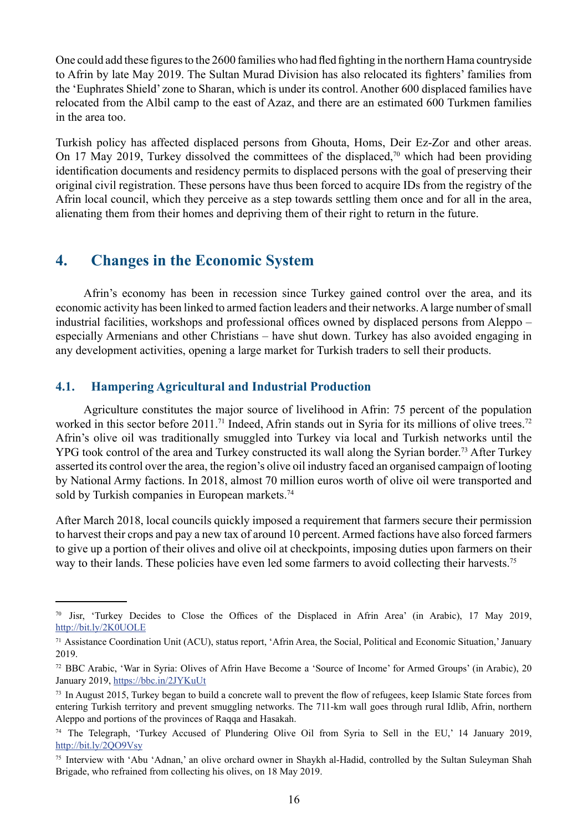<span id="page-19-0"></span>One could add these figures to the 2600 families who had fled fighting in the northern Hama countryside to Afrin by late May 2019. The Sultan Murad Division has also relocated its fighters' families from the 'Euphrates Shield' zone to Sharan, which is under its control. Another 600 displaced families have relocated from the Albil camp to the east of Azaz, and there are an estimated 600 Turkmen families in the area too.

Turkish policy has affected displaced persons from Ghouta, Homs, Deir Ez-Zor and other areas. On 17 May 2019, Turkey dissolved the committees of the displaced,<sup>70</sup> which had been providing identification documents and residency permits to displaced persons with the goal of preserving their original civil registration. These persons have thus been forced to acquire IDs from the registry of the Afrin local council, which they perceive as a step towards settling them once and for all in the area, alienating them from their homes and depriving them of their right to return in the future.

### **4. Changes in the Economic System**

Afrin's economy has been in recession since Turkey gained control over the area, and its economic activity has been linked to armed faction leaders and their networks. A large number of small industrial facilities, workshops and professional offices owned by displaced persons from Aleppo – especially Armenians and other Christians – have shut down. Turkey has also avoided engaging in any development activities, opening a large market for Turkish traders to sell their products.

#### **4.1. Hampering Agricultural and Industrial Production**

Agriculture constitutes the major source of livelihood in Afrin: 75 percent of the population worked in this sector before 2011.<sup>71</sup> Indeed, Afrin stands out in Syria for its millions of olive trees.<sup>72</sup> Afrin's olive oil was traditionally smuggled into Turkey via local and Turkish networks until the YPG took control of the area and Turkey constructed its wall along the Syrian border.<sup>73</sup> After Turkey asserted its control over the area, the region's olive oil industry faced an organised campaign of looting by National Army factions. In 2018, almost 70 million euros worth of olive oil were transported and sold by Turkish companies in European markets.<sup>74</sup>

After March 2018, local councils quickly imposed a requirement that farmers secure their permission to harvest their crops and pay a new tax of around 10 percent. Armed factions have also forced farmers to give up a portion of their olives and olive oil at checkpoints, imposing duties upon farmers on their way to their lands. These policies have even led some farmers to avoid collecting their harvests.<sup>75</sup>

<sup>70</sup> Jisr, 'Turkey Decides to Close the Offices of the Displaced in Afrin Area' (in Arabic), 17 May 2019, <http://bit.ly/2K0UOLE>

<sup>71</sup> Assistance Coordination Unit (ACU), status report, 'Afrin Area, the Social, Political and Economic Situation,' January 2019.

<sup>72</sup> BBC Arabic, 'War in Syria: Olives of Afrin Have Become a 'Source of Income' for Armed Groups' (in Arabic), 20 January 2019, <https://bbc.in/2JYKuUt>

<sup>&</sup>lt;sup>73</sup> In August 2015, Turkey began to build a concrete wall to prevent the flow of refugees, keep Islamic State forces from entering Turkish territory and prevent smuggling networks. The 711-km wall goes through rural Idlib, Afrin, northern Aleppo and portions of the provinces of Raqqa and Hasakah.

<sup>&</sup>lt;sup>74</sup> The Telegraph, 'Turkey Accused of Plundering Olive Oil from Syria to Sell in the EU,' 14 January 2019, <http://bit.ly/2QO9Vsy>

<sup>75</sup> Interview with 'Abu 'Adnan,' an olive orchard owner in Shaykh al-Hadid, controlled by the Sultan Suleyman Shah Brigade, who refrained from collecting his olives, on 18 May 2019.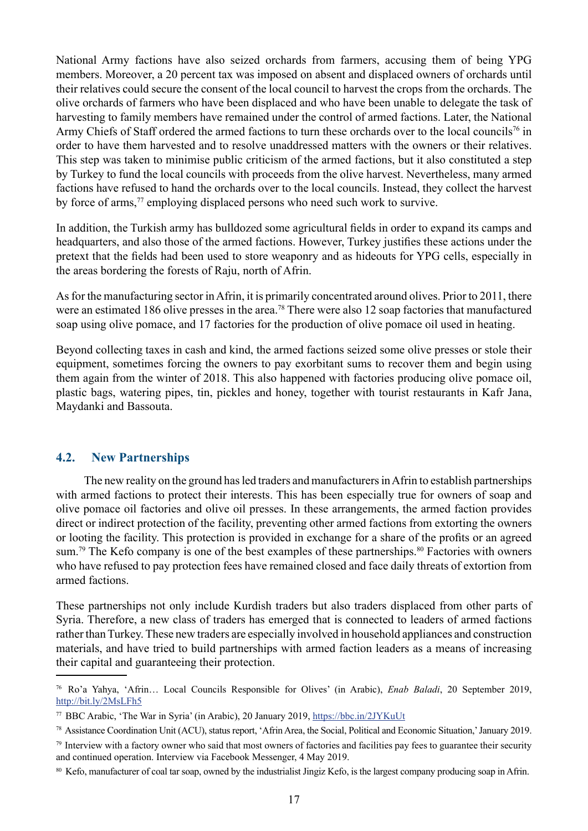<span id="page-20-0"></span>National Army factions have also seized orchards from farmers, accusing them of being YPG members. Moreover, a 20 percent tax was imposed on absent and displaced owners of orchards until their relatives could secure the consent of the local council to harvest the crops from the orchards. The olive orchards of farmers who have been displaced and who have been unable to delegate the task of harvesting to family members have remained under the control of armed factions. Later, the National Army Chiefs of Staff ordered the armed factions to turn these orchards over to the local councils<sup>76</sup> in order to have them harvested and to resolve unaddressed matters with the owners or their relatives. This step was taken to minimise public criticism of the armed factions, but it also constituted a step by Turkey to fund the local councils with proceeds from the olive harvest. Nevertheless, many armed factions have refused to hand the orchards over to the local councils. Instead, they collect the harvest by force of arms,<sup>77</sup> employing displaced persons who need such work to survive.

In addition, the Turkish army has bulldozed some agricultural fields in order to expand its camps and headquarters, and also those of the armed factions. However, Turkey justifies these actions under the pretext that the fields had been used to store weaponry and as hideouts for YPG cells, especially in the areas bordering the forests of Raju, north of Afrin.

As for the manufacturing sector in Afrin, it is primarily concentrated around olives. Prior to 2011, there were an estimated 186 olive presses in the area.<sup>78</sup> There were also 12 soap factories that manufactured soap using olive pomace, and 17 factories for the production of olive pomace oil used in heating.

Beyond collecting taxes in cash and kind, the armed factions seized some olive presses or stole their equipment, sometimes forcing the owners to pay exorbitant sums to recover them and begin using them again from the winter of 2018. This also happened with factories producing olive pomace oil, plastic bags, watering pipes, tin, pickles and honey, together with tourist restaurants in Kafr Jana, Maydanki and Bassouta.

#### **4.2. New Partnerships**

The new reality on the ground has led traders and manufacturers in Afrin to establish partnerships with armed factions to protect their interests. This has been especially true for owners of soap and olive pomace oil factories and olive oil presses. In these arrangements, the armed faction provides direct or indirect protection of the facility, preventing other armed factions from extorting the owners or looting the facility. This protection is provided in exchange for a share of the profits or an agreed sum.<sup>79</sup> The Kefo company is one of the best examples of these partnerships.<sup>80</sup> Factories with owners who have refused to pay protection fees have remained closed and face daily threats of extortion from armed factions.

These partnerships not only include Kurdish traders but also traders displaced from other parts of Syria. Therefore, a new class of traders has emerged that is connected to leaders of armed factions rather than Turkey. These new traders are especially involved in household appliances and construction materials, and have tried to build partnerships with armed faction leaders as a means of increasing their capital and guaranteeing their protection.

<sup>76</sup> Ro'a Yahya, 'Afrin… Local Councils Responsible for Olives' (in Arabic), *Enab Baladi*, 20 September 2019, <http://bit.ly/2MsLFh5>

<sup>77</sup> BBC Arabic, 'The War in Syria' (in Arabic), 20 January 2019, <https://bbc.in/2JYKuUt>

<sup>78</sup> Assistance Coordination Unit (ACU), status report, 'Afrin Area, the Social, Political and Economic Situation,' January 2019.

 $79$  Interview with a factory owner who said that most owners of factories and facilities pay fees to guarantee their security and continued operation. Interview via Facebook Messenger, 4 May 2019.

<sup>&</sup>lt;sup>80</sup> Kefo, manufacturer of coal tar soap, owned by the industrialist Jingiz Kefo, is the largest company producing soap in Afrin.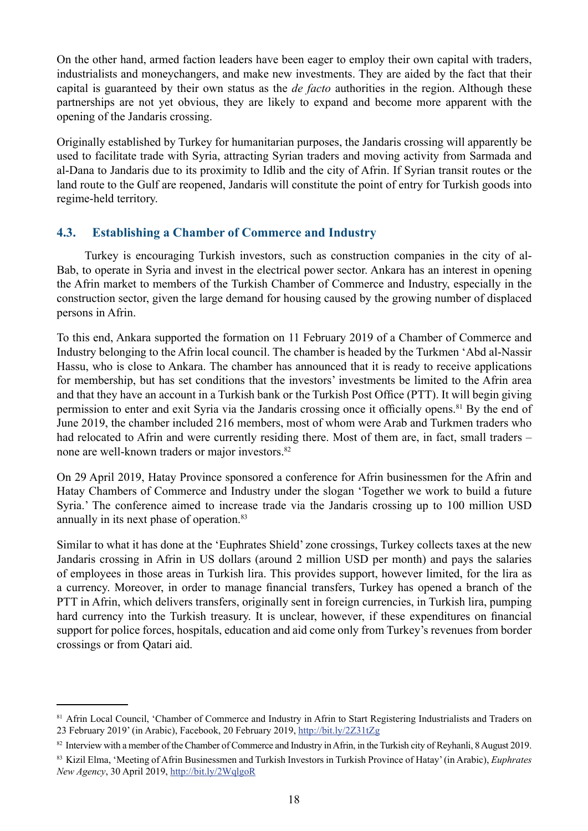<span id="page-21-0"></span>On the other hand, armed faction leaders have been eager to employ their own capital with traders, industrialists and moneychangers, and make new investments. They are aided by the fact that their capital is guaranteed by their own status as the *de facto* authorities in the region. Although these partnerships are not yet obvious, they are likely to expand and become more apparent with the opening of the Jandaris crossing.

Originally established by Turkey for humanitarian purposes, the Jandaris crossing will apparently be used to facilitate trade with Syria, attracting Syrian traders and moving activity from Sarmada and al-Dana to Jandaris due to its proximity to Idlib and the city of Afrin. If Syrian transit routes or the land route to the Gulf are reopened, Jandaris will constitute the point of entry for Turkish goods into regime-held territory.

#### **4.3. Establishing a Chamber of Commerce and Industry**

Turkey is encouraging Turkish investors, such as construction companies in the city of al-Bab, to operate in Syria and invest in the electrical power sector. Ankara has an interest in opening the Afrin market to members of the Turkish Chamber of Commerce and Industry, especially in the construction sector, given the large demand for housing caused by the growing number of displaced persons in Afrin.

To this end, Ankara supported the formation on 11 February 2019 of a Chamber of Commerce and Industry belonging to the Afrin local council. The chamber is headed by the Turkmen 'Abd al-Nassir Hassu, who is close to Ankara. The chamber has announced that it is ready to receive applications for membership, but has set conditions that the investors' investments be limited to the Afrin area and that they have an account in a Turkish bank or the Turkish Post Office (PTT). It will begin giving permission to enter and exit Syria via the Jandaris crossing once it officially opens.<sup>81</sup> By the end of June 2019, the chamber included 216 members, most of whom were Arab and Turkmen traders who had relocated to Afrin and were currently residing there. Most of them are, in fact, small traders – none are well-known traders or major investors.<sup>82</sup>

On 29 April 2019, Hatay Province sponsored a conference for Afrin businessmen for the Afrin and Hatay Chambers of Commerce and Industry under the slogan 'Together we work to build a future Syria.' The conference aimed to increase trade via the Jandaris crossing up to 100 million USD annually in its next phase of operation.<sup>83</sup>

Similar to what it has done at the 'Euphrates Shield' zone crossings, Turkey collects taxes at the new Jandaris crossing in Afrin in US dollars (around 2 million USD per month) and pays the salaries of employees in those areas in Turkish lira. This provides support, however limited, for the lira as a currency. Moreover, in order to manage financial transfers, Turkey has opened a branch of the PTT in Afrin, which delivers transfers, originally sent in foreign currencies, in Turkish lira, pumping hard currency into the Turkish treasury. It is unclear, however, if these expenditures on financial support for police forces, hospitals, education and aid come only from Turkey's revenues from border crossings or from Qatari aid.

<sup>&</sup>lt;sup>81</sup> Afrin Local Council, 'Chamber of Commerce and Industry in Afrin to Start Registering Industrialists and Traders on 23 February 2019' (in Arabic), Facebook, 20 February 2019,<http://bit.ly/2Z31tZg>

<sup>82</sup> Interview with a member of the Chamber of Commerce and Industry in Afrin, in the Turkish city of Reyhanli, 8 August 2019. 83 Kizil Elma, 'Meeting of Afrin Businessmen and Turkish Investors in Turkish Province of Hatay' (in Arabic), *Euphrates New Agency*, 30 April 2019, <http://bit.ly/2WqlgoR>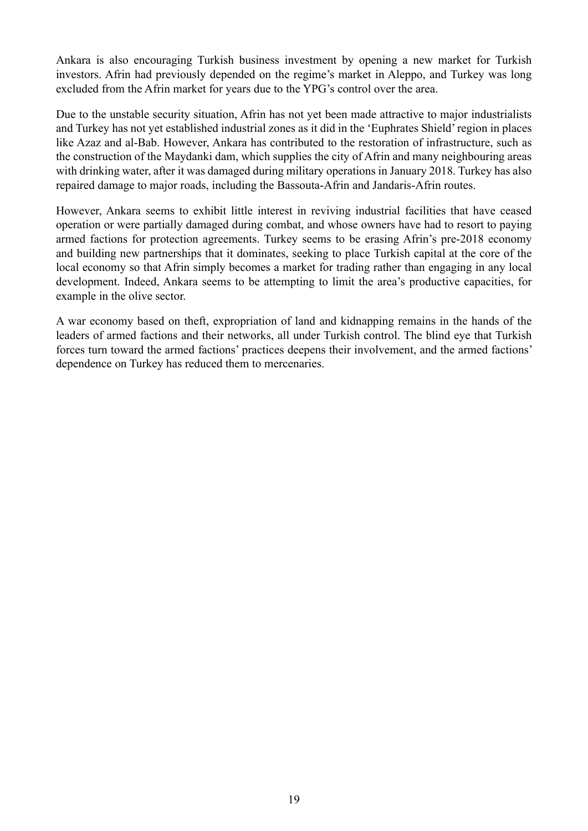Ankara is also encouraging Turkish business investment by opening a new market for Turkish investors. Afrin had previously depended on the regime's market in Aleppo, and Turkey was long excluded from the Afrin market for years due to the YPG's control over the area.

Due to the unstable security situation, Afrin has not yet been made attractive to major industrialists and Turkey has not yet established industrial zones as it did in the 'Euphrates Shield' region in places like Azaz and al-Bab. However, Ankara has contributed to the restoration of infrastructure, such as the construction of the Maydanki dam, which supplies the city of Afrin and many neighbouring areas with drinking water, after it was damaged during military operations in January 2018. Turkey has also repaired damage to major roads, including the Bassouta-Afrin and Jandaris-Afrin routes.

However, Ankara seems to exhibit little interest in reviving industrial facilities that have ceased operation or were partially damaged during combat, and whose owners have had to resort to paying armed factions for protection agreements. Turkey seems to be erasing Afrin's pre-2018 economy and building new partnerships that it dominates, seeking to place Turkish capital at the core of the local economy so that Afrin simply becomes a market for trading rather than engaging in any local development. Indeed, Ankara seems to be attempting to limit the area's productive capacities, for example in the olive sector.

A war economy based on theft, expropriation of land and kidnapping remains in the hands of the leaders of armed factions and their networks, all under Turkish control. The blind eye that Turkish forces turn toward the armed factions' practices deepens their involvement, and the armed factions' dependence on Turkey has reduced them to mercenaries.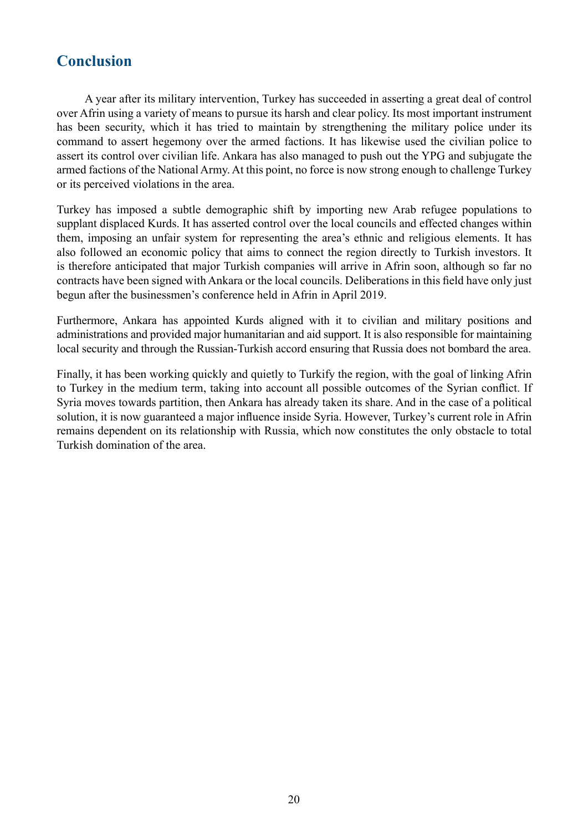## <span id="page-23-0"></span>**Conclusion**

A year after its military intervention, Turkey has succeeded in asserting a great deal of control over Afrin using a variety of means to pursue its harsh and clear policy. Its most important instrument has been security, which it has tried to maintain by strengthening the military police under its command to assert hegemony over the armed factions. It has likewise used the civilian police to assert its control over civilian life. Ankara has also managed to push out the YPG and subjugate the armed factions of the National Army. At this point, no force is now strong enough to challenge Turkey or its perceived violations in the area.

Turkey has imposed a subtle demographic shift by importing new Arab refugee populations to supplant displaced Kurds. It has asserted control over the local councils and effected changes within them, imposing an unfair system for representing the area's ethnic and religious elements. It has also followed an economic policy that aims to connect the region directly to Turkish investors. It is therefore anticipated that major Turkish companies will arrive in Afrin soon, although so far no contracts have been signed with Ankara or the local councils. Deliberations in this field have only just begun after the businessmen's conference held in Afrin in April 2019.

Furthermore, Ankara has appointed Kurds aligned with it to civilian and military positions and administrations and provided major humanitarian and aid support. It is also responsible for maintaining local security and through the Russian-Turkish accord ensuring that Russia does not bombard the area.

Finally, it has been working quickly and quietly to Turkify the region, with the goal of linking Afrin to Turkey in the medium term, taking into account all possible outcomes of the Syrian conflict. If Syria moves towards partition, then Ankara has already taken its share. And in the case of a political solution, it is now guaranteed a major influence inside Syria. However, Turkey's current role in Afrin remains dependent on its relationship with Russia, which now constitutes the only obstacle to total Turkish domination of the area.